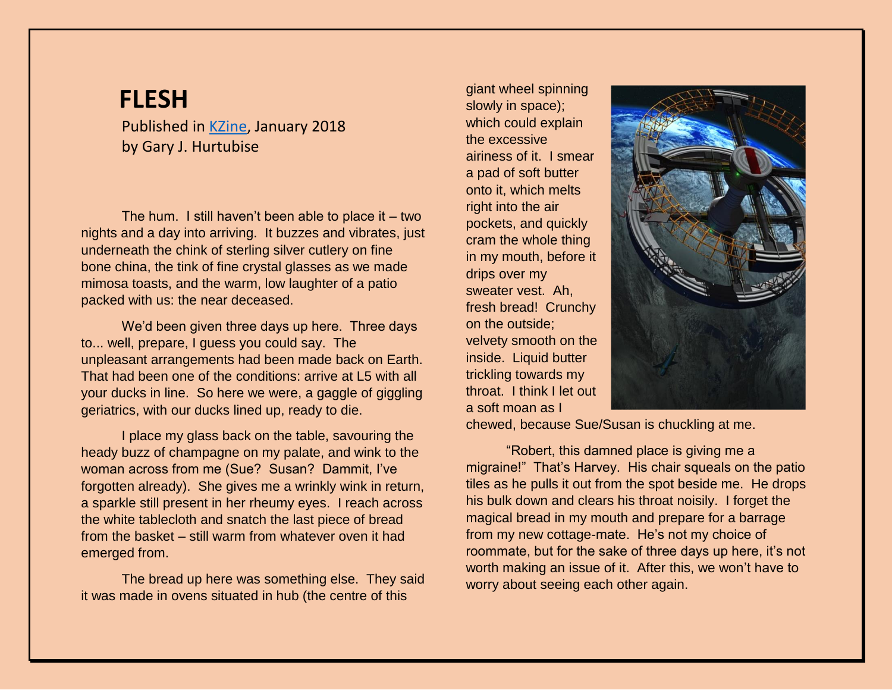# **FLESH**

Published in [KZine,](https://www.kzine.co.uk/) January 2018 by Gary J. Hurtubise

The hum. I still haven't been able to place it  $-$  two nights and a day into arriving. It buzzes and vibrates, just underneath the chink of sterling silver cutlery on fine bone china, the tink of fine crystal glasses as we made mimosa toasts, and the warm, low laughter of a patio packed with us: the near deceased.

We'd been given three days up here. Three days to... well, prepare, I guess you could say. The unpleasant arrangements had been made back on Earth. That had been one of the conditions: arrive at L5 with all your ducks in line. So here we were, a gaggle of giggling geriatrics, with our ducks lined up, ready to die.

I place my glass back on the table, savouring the heady buzz of champagne on my palate, and wink to the woman across from me (Sue? Susan? Dammit, I've forgotten already). She gives me a wrinkly wink in return, a sparkle still present in her rheumy eyes. I reach across the white tablecloth and snatch the last piece of bread from the basket – still warm from whatever oven it had emerged from.

The bread up here was something else. They said it was made in ovens situated in hub (the centre of this

giant wheel spinning slowly in space); which could explain the excessive airiness of it. I smear a pad of soft butter onto it, which melts right into the air pockets, and quickly cram the whole thing in my mouth, before it drips over my sweater vest. Ah, fresh bread! Crunchy on the outside; velvety smooth on the inside. Liquid butter trickling towards my throat. I think I let out a soft moan as I



chewed, because Sue/Susan is chuckling at me.

"Robert, this damned place is giving me a migraine!" That's Harvey. His chair squeals on the patio tiles as he pulls it out from the spot beside me. He drops his bulk down and clears his throat noisily. I forget the magical bread in my mouth and prepare for a barrage from my new cottage-mate. He's not my choice of roommate, but for the sake of three days up here, it's not worth making an issue of it. After this, we won't have to worry about seeing each other again.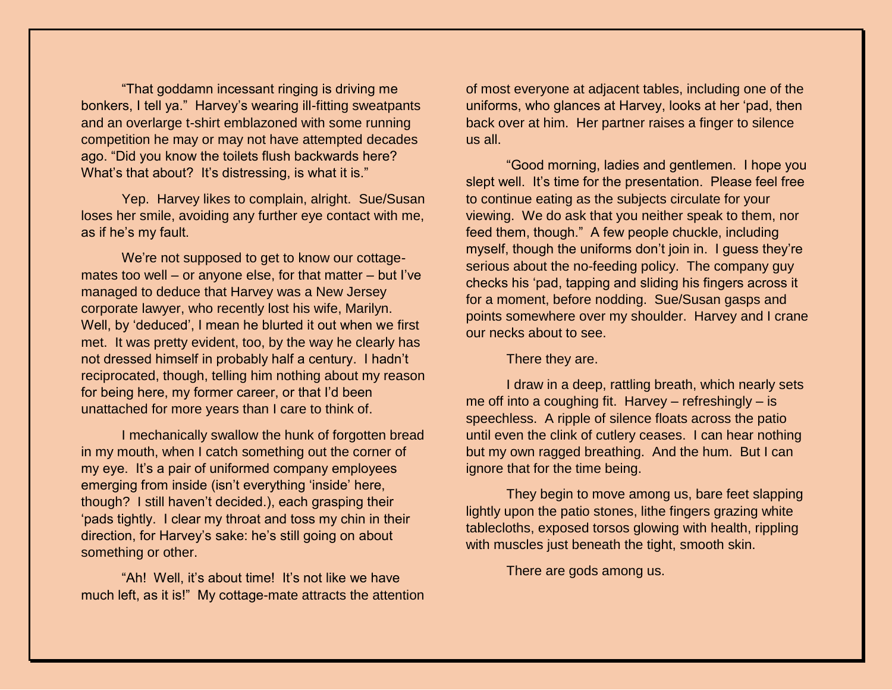"That goddamn incessant ringing is driving me bonkers, I tell ya." Harvey's wearing ill-fitting sweatpants and an overlarge t-shirt emblazoned with some running competition he may or may not have attempted decades ago. "Did you know the toilets flush backwards here? What's that about? It's distressing, is what it is."

Yep. Harvey likes to complain, alright. Sue/Susan loses her smile, avoiding any further eye contact with me, as if he's my fault.

We're not supposed to get to know our cottagemates too well – or anyone else, for that matter – but I've managed to deduce that Harvey was a New Jersey corporate lawyer, who recently lost his wife, Marilyn. Well, by 'deduced', I mean he blurted it out when we first met. It was pretty evident, too, by the way he clearly has not dressed himself in probably half a century. I hadn't reciprocated, though, telling him nothing about my reason for being here, my former career, or that I'd been unattached for more years than I care to think of.

I mechanically swallow the hunk of forgotten bread in my mouth, when I catch something out the corner of my eye. It's a pair of uniformed company employees emerging from inside (isn't everything 'inside' here, though? I still haven't decided.), each grasping their 'pads tightly. I clear my throat and toss my chin in their direction, for Harvey's sake: he's still going on about something or other.

"Ah! Well, it's about time! It's not like we have much left, as it is!" My cottage-mate attracts the attention of most everyone at adjacent tables, including one of the uniforms, who glances at Harvey, looks at her 'pad, then back over at him. Her partner raises a finger to silence us all.

"Good morning, ladies and gentlemen. I hope you slept well. It's time for the presentation. Please feel free to continue eating as the subjects circulate for your viewing. We do ask that you neither speak to them, nor feed them, though." A few people chuckle, including myself, though the uniforms don't join in. I guess they're serious about the no-feeding policy. The company guy checks his 'pad, tapping and sliding his fingers across it for a moment, before nodding. Sue/Susan gasps and points somewhere over my shoulder. Harvey and I crane our necks about to see.

There they are.

I draw in a deep, rattling breath, which nearly sets me off into a coughing fit. Harvey – refreshingly – is speechless. A ripple of silence floats across the patio until even the clink of cutlery ceases. I can hear nothing but my own ragged breathing. And the hum. But I can ignore that for the time being.

They begin to move among us, bare feet slapping lightly upon the patio stones, lithe fingers grazing white tablecloths, exposed torsos glowing with health, rippling with muscles just beneath the tight, smooth skin.

There are gods among us.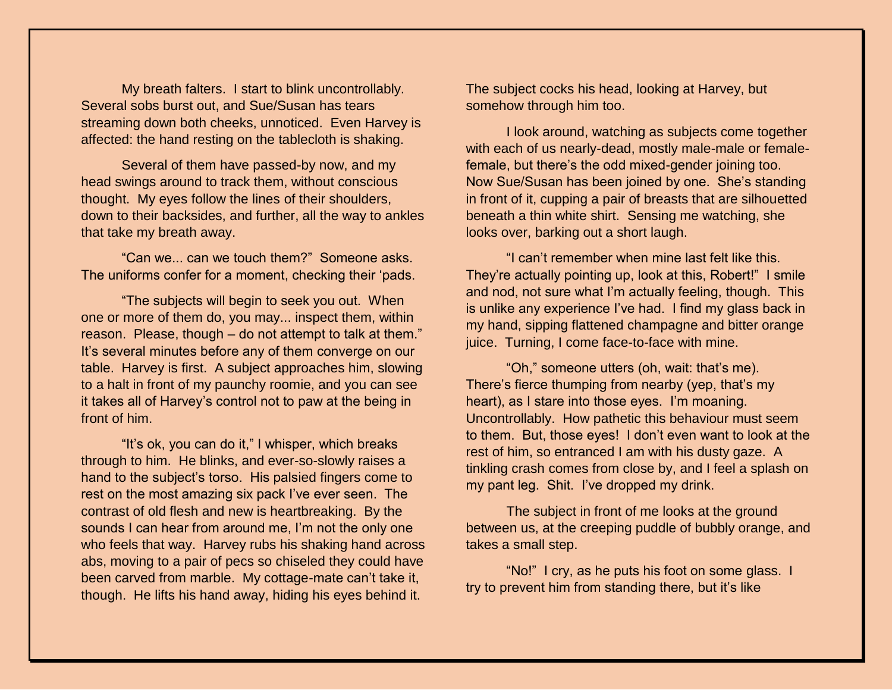My breath falters. I start to blink uncontrollably. Several sobs burst out, and Sue/Susan has tears streaming down both cheeks, unnoticed. Even Harvey is affected: the hand resting on the tablecloth is shaking.

Several of them have passed-by now, and my head swings around to track them, without conscious thought. My eyes follow the lines of their shoulders, down to their backsides, and further, all the way to ankles that take my breath away.

"Can we... can we touch them?" Someone asks. The uniforms confer for a moment, checking their 'pads.

"The subjects will begin to seek you out. When one or more of them do, you may... inspect them, within reason. Please, though – do not attempt to talk at them." It's several minutes before any of them converge on our table. Harvey is first. A subject approaches him, slowing to a halt in front of my paunchy roomie, and you can see it takes all of Harvey's control not to paw at the being in front of him.

"It's ok, you can do it," I whisper, which breaks through to him. He blinks, and ever-so-slowly raises a hand to the subject's torso. His palsied fingers come to rest on the most amazing six pack I've ever seen. The contrast of old flesh and new is heartbreaking. By the sounds I can hear from around me, I'm not the only one who feels that way. Harvey rubs his shaking hand across abs, moving to a pair of pecs so chiseled they could have been carved from marble. My cottage-mate can't take it, though. He lifts his hand away, hiding his eyes behind it.

The subject cocks his head, looking at Harvey, but somehow through him too.

I look around, watching as subjects come together with each of us nearly-dead, mostly male-male or femalefemale, but there's the odd mixed-gender joining too. Now Sue/Susan has been joined by one. She's standing in front of it, cupping a pair of breasts that are silhouetted beneath a thin white shirt. Sensing me watching, she looks over, barking out a short laugh.

"I can't remember when mine last felt like this. They're actually pointing up, look at this, Robert!" I smile and nod, not sure what I'm actually feeling, though. This is unlike any experience I've had. I find my glass back in my hand, sipping flattened champagne and bitter orange juice. Turning, I come face-to-face with mine.

"Oh," someone utters (oh, wait: that's me). There's fierce thumping from nearby (yep, that's my heart), as I stare into those eyes. I'm moaning. Uncontrollably. How pathetic this behaviour must seem to them. But, those eyes! I don't even want to look at the rest of him, so entranced I am with his dusty gaze. A tinkling crash comes from close by, and I feel a splash on my pant leg. Shit. I've dropped my drink.

The subject in front of me looks at the ground between us, at the creeping puddle of bubbly orange, and takes a small step.

"No!" I cry, as he puts his foot on some glass. I try to prevent him from standing there, but it's like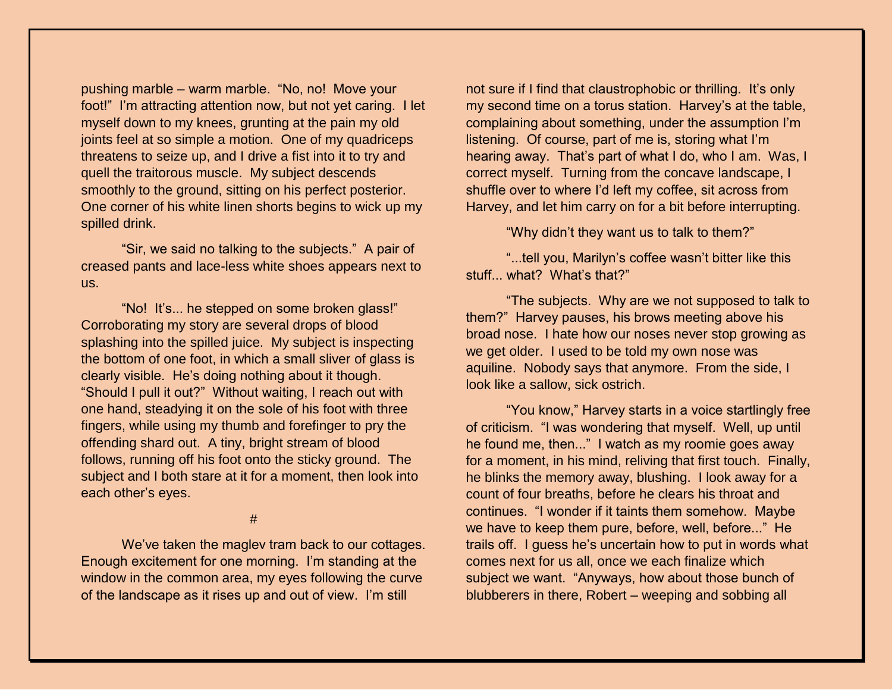pushing marble – warm marble. "No, no! Move your foot!" I'm attracting attention now, but not yet caring. I let myself down to my knees, grunting at the pain my old joints feel at so simple a motion. One of my quadriceps threatens to seize up, and I drive a fist into it to try and quell the traitorous muscle. My subject descends smoothly to the ground, sitting on his perfect posterior. One corner of his white linen shorts begins to wick up my spilled drink.

"Sir, we said no talking to the subjects." A pair of creased pants and lace-less white shoes appears next to us.

"No! It's... he stepped on some broken glass!" Corroborating my story are several drops of blood splashing into the spilled juice. My subject is inspecting the bottom of one foot, in which a small sliver of glass is clearly visible. He's doing nothing about it though. "Should I pull it out?" Without waiting, I reach out with one hand, steadying it on the sole of his foot with three fingers, while using my thumb and forefinger to pry the offending shard out. A tiny, bright stream of blood follows, running off his foot onto the sticky ground. The subject and I both stare at it for a moment, then look into each other's eyes.

#

We've taken the maglev tram back to our cottages. Enough excitement for one morning. I'm standing at the window in the common area, my eyes following the curve of the landscape as it rises up and out of view. I'm still

not sure if I find that claustrophobic or thrilling. It's only my second time on a torus station. Harvey's at the table, complaining about something, under the assumption I'm listening. Of course, part of me is, storing what I'm hearing away. That's part of what I do, who I am. Was, I correct myself. Turning from the concave landscape, I shuffle over to where I'd left my coffee, sit across from Harvey, and let him carry on for a bit before interrupting.

"Why didn't they want us to talk to them?"

"...tell you, Marilyn's coffee wasn't bitter like this stuff... what? What's that?"

"The subjects. Why are we not supposed to talk to them?" Harvey pauses, his brows meeting above his broad nose. I hate how our noses never stop growing as we get older. I used to be told my own nose was aquiline. Nobody says that anymore. From the side, I look like a sallow, sick ostrich.

"You know," Harvey starts in a voice startlingly free of criticism. "I was wondering that myself. Well, up until he found me, then..." I watch as my roomie goes away for a moment, in his mind, reliving that first touch. Finally, he blinks the memory away, blushing. I look away for a count of four breaths, before he clears his throat and continues. "I wonder if it taints them somehow. Maybe we have to keep them pure, before, well, before..." He trails off. I guess he's uncertain how to put in words what comes next for us all, once we each finalize which subject we want. "Anyways, how about those bunch of blubberers in there, Robert – weeping and sobbing all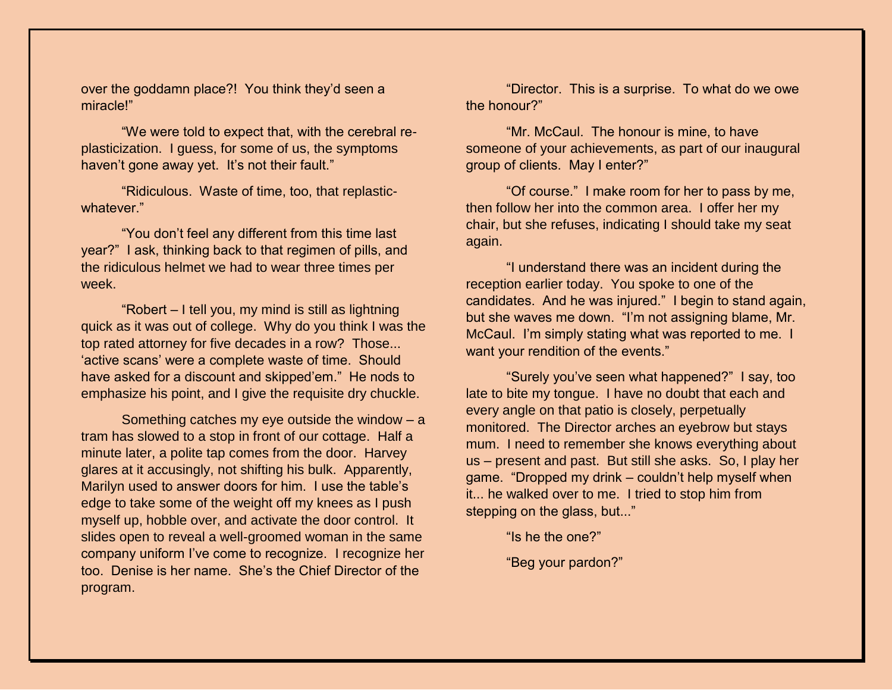over the goddamn place?! You think they'd seen a miracle!"

"We were told to expect that, with the cerebral replasticization. I guess, for some of us, the symptoms haven't gone away yet. It's not their fault."

"Ridiculous. Waste of time, too, that replasticwhatever."

"You don't feel any different from this time last year?" I ask, thinking back to that regimen of pills, and the ridiculous helmet we had to wear three times per week.

"Robert – I tell you, my mind is still as lightning quick as it was out of college. Why do you think I was the top rated attorney for five decades in a row? Those... 'active scans' were a complete waste of time. Should have asked for a discount and skipped'em." He nods to emphasize his point, and I give the requisite dry chuckle.

Something catches my eye outside the window – a tram has slowed to a stop in front of our cottage. Half a minute later, a polite tap comes from the door. Harvey glares at it accusingly, not shifting his bulk. Apparently, Marilyn used to answer doors for him. I use the table's edge to take some of the weight off my knees as I push myself up, hobble over, and activate the door control. It slides open to reveal a well-groomed woman in the same company uniform I've come to recognize. I recognize her too. Denise is her name. She's the Chief Director of the program.

"Director. This is a surprise. To what do we owe the honour?"

"Mr. McCaul. The honour is mine, to have someone of your achievements, as part of our inaugural group of clients. May I enter?"

"Of course." I make room for her to pass by me, then follow her into the common area. I offer her my chair, but she refuses, indicating I should take my seat again.

"I understand there was an incident during the reception earlier today. You spoke to one of the candidates. And he was injured." I begin to stand again, but she waves me down. "I'm not assigning blame, Mr. McCaul. I'm simply stating what was reported to me. I want your rendition of the events."

"Surely you've seen what happened?" I say, too late to bite my tongue. I have no doubt that each and every angle on that patio is closely, perpetually monitored. The Director arches an eyebrow but stays mum. I need to remember she knows everything about us – present and past. But still she asks. So, I play her game. "Dropped my drink – couldn't help myself when it... he walked over to me. I tried to stop him from stepping on the glass, but..."

"Is he the one?"

"Beg your pardon?"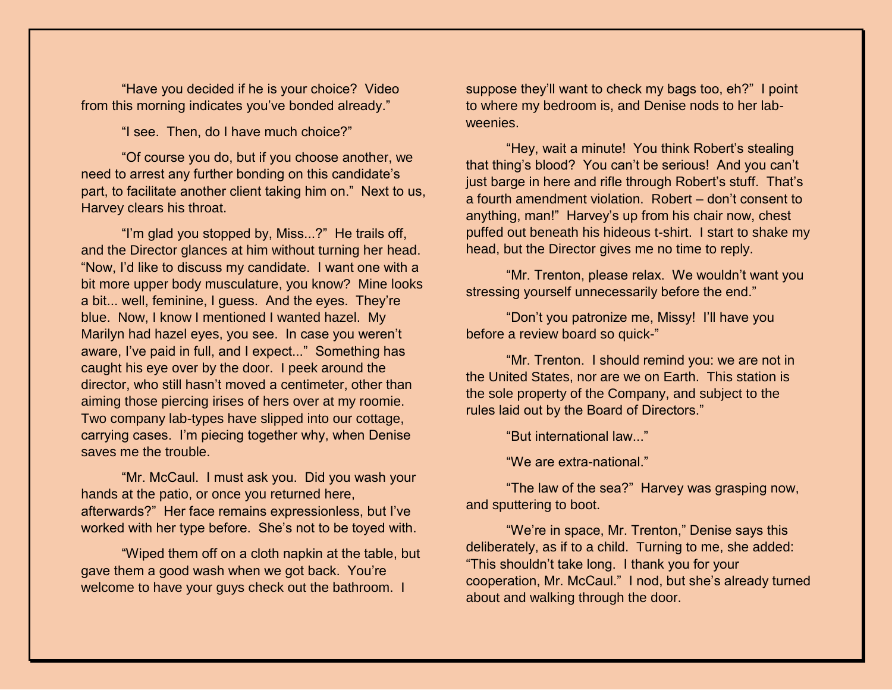"Have you decided if he is your choice? Video from this morning indicates you've bonded already."

"I see. Then, do I have much choice?"

"Of course you do, but if you choose another, we need to arrest any further bonding on this candidate's part, to facilitate another client taking him on." Next to us, Harvey clears his throat.

"I'm glad you stopped by, Miss...?" He trails off, and the Director glances at him without turning her head. "Now, I'd like to discuss my candidate. I want one with a bit more upper body musculature, you know? Mine looks a bit... well, feminine, I guess. And the eyes. They're blue. Now, I know I mentioned I wanted hazel. My Marilyn had hazel eyes, you see. In case you weren't aware, I've paid in full, and I expect..." Something has caught his eye over by the door. I peek around the director, who still hasn't moved a centimeter, other than aiming those piercing irises of hers over at my roomie. Two company lab-types have slipped into our cottage, carrying cases. I'm piecing together why, when Denise saves me the trouble.

"Mr. McCaul. I must ask you. Did you wash your hands at the patio, or once you returned here, afterwards?" Her face remains expressionless, but I've worked with her type before. She's not to be toyed with.

"Wiped them off on a cloth napkin at the table, but gave them a good wash when we got back. You're welcome to have your guys check out the bathroom. I

suppose they'll want to check my bags too, eh?" I point to where my bedroom is, and Denise nods to her labweenies.

"Hey, wait a minute! You think Robert's stealing that thing's blood? You can't be serious! And you can't just barge in here and rifle through Robert's stuff. That's a fourth amendment violation. Robert – don't consent to anything, man!" Harvey's up from his chair now, chest puffed out beneath his hideous t-shirt. I start to shake my head, but the Director gives me no time to reply.

"Mr. Trenton, please relax. We wouldn't want you stressing yourself unnecessarily before the end."

"Don't you patronize me, Missy! I'll have you before a review board so quick-"

"Mr. Trenton. I should remind you: we are not in the United States, nor are we on Earth. This station is the sole property of the Company, and subject to the rules laid out by the Board of Directors."

"But international law..."

"We are extra-national."

"The law of the sea?" Harvey was grasping now, and sputtering to boot.

"We're in space, Mr. Trenton," Denise says this deliberately, as if to a child. Turning to me, she added: "This shouldn't take long. I thank you for your cooperation, Mr. McCaul." I nod, but she's already turned about and walking through the door.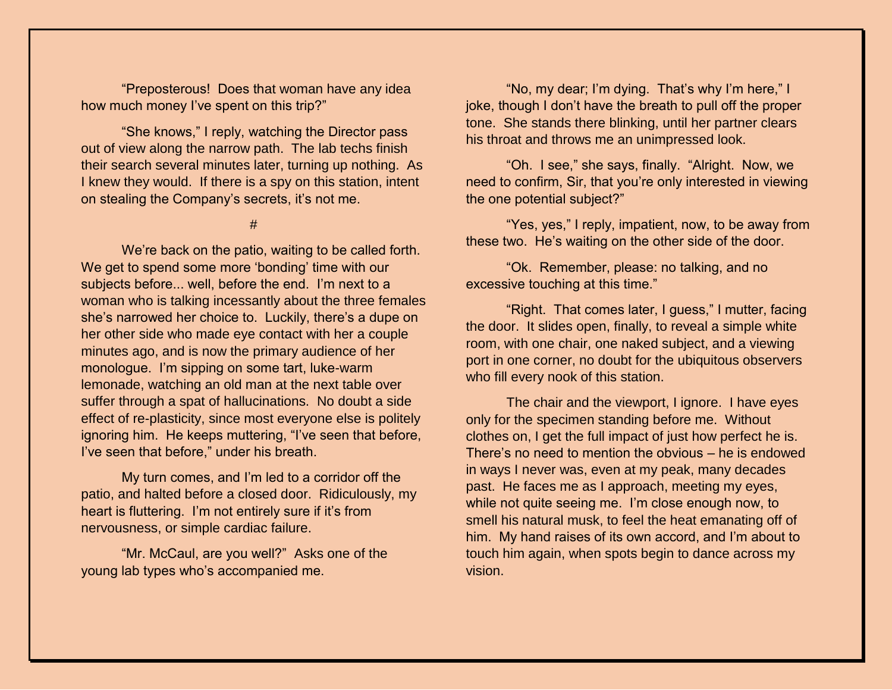"Preposterous! Does that woman have any idea how much money I've spent on this trip?"

"She knows," I reply, watching the Director pass out of view along the narrow path. The lab techs finish their search several minutes later, turning up nothing. As I knew they would. If there is a spy on this station, intent on stealing the Company's secrets, it's not me.

#

We're back on the patio, waiting to be called forth. We get to spend some more 'bonding' time with our subjects before... well, before the end. I'm next to a woman who is talking incessantly about the three females she's narrowed her choice to. Luckily, there's a dupe on her other side who made eye contact with her a couple minutes ago, and is now the primary audience of her monologue. I'm sipping on some tart, luke-warm lemonade, watching an old man at the next table over suffer through a spat of hallucinations. No doubt a side effect of re-plasticity, since most everyone else is politely ignoring him. He keeps muttering, "I've seen that before, I've seen that before," under his breath.

My turn comes, and I'm led to a corridor off the patio, and halted before a closed door. Ridiculously, my heart is fluttering. I'm not entirely sure if it's from nervousness, or simple cardiac failure.

"Mr. McCaul, are you well?" Asks one of the young lab types who's accompanied me.

"No, my dear; I'm dying. That's why I'm here," I joke, though I don't have the breath to pull off the proper tone. She stands there blinking, until her partner clears his throat and throws me an unimpressed look.

"Oh. I see," she says, finally. "Alright. Now, we need to confirm, Sir, that you're only interested in viewing the one potential subject?"

"Yes, yes," I reply, impatient, now, to be away from these two. He's waiting on the other side of the door.

"Ok. Remember, please: no talking, and no excessive touching at this time."

"Right. That comes later, I guess," I mutter, facing the door. It slides open, finally, to reveal a simple white room, with one chair, one naked subject, and a viewing port in one corner, no doubt for the ubiquitous observers who fill every nook of this station.

The chair and the viewport, I ignore. I have eyes only for the specimen standing before me. Without clothes on, I get the full impact of just how perfect he is. There's no need to mention the obvious – he is endowed in ways I never was, even at my peak, many decades past. He faces me as I approach, meeting my eyes, while not quite seeing me. I'm close enough now, to smell his natural musk, to feel the heat emanating off of him. My hand raises of its own accord, and I'm about to touch him again, when spots begin to dance across my vision.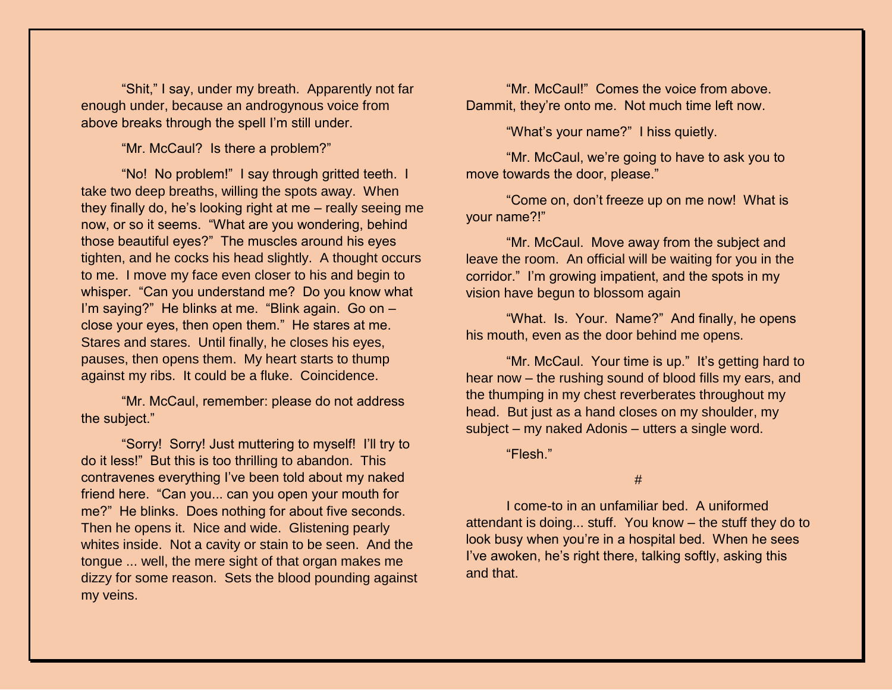"Shit," I say, under my breath. Apparently not far enough under, because an androgynous voice from above breaks through the spell I'm still under.

"Mr. McCaul? Is there a problem?"

"No! No problem!" I say through gritted teeth. I take two deep breaths, willing the spots away. When they finally do, he's looking right at me – really seeing me now, or so it seems. "What are you wondering, behind those beautiful eyes?" The muscles around his eyes tighten, and he cocks his head slightly. A thought occurs to me. I move my face even closer to his and begin to whisper. "Can you understand me? Do you know what I'm saying?" He blinks at me. "Blink again. Go on – close your eyes, then open them." He stares at me. Stares and stares. Until finally, he closes his eyes, pauses, then opens them. My heart starts to thump against my ribs. It could be a fluke. Coincidence.

"Mr. McCaul, remember: please do not address the subject."

"Sorry! Sorry! Just muttering to myself! I'll try to do it less!" But this is too thrilling to abandon. This contravenes everything I've been told about my naked friend here. "Can you... can you open your mouth for me?" He blinks. Does nothing for about five seconds. Then he opens it. Nice and wide. Glistening pearly whites inside. Not a cavity or stain to be seen. And the tongue ... well, the mere sight of that organ makes me dizzy for some reason. Sets the blood pounding against my veins.

"Mr. McCaul!" Comes the voice from above. Dammit, they're onto me. Not much time left now.

"What's your name?" I hiss quietly.

"Mr. McCaul, we're going to have to ask you to move towards the door, please."

"Come on, don't freeze up on me now! What is your name?!"

"Mr. McCaul. Move away from the subject and leave the room. An official will be waiting for you in the corridor." I'm growing impatient, and the spots in my vision have begun to blossom again

"What. Is. Your. Name?" And finally, he opens his mouth, even as the door behind me opens.

"Mr. McCaul. Your time is up." It's getting hard to hear now – the rushing sound of blood fills my ears, and the thumping in my chest reverberates throughout my head. But just as a hand closes on my shoulder, my subject – my naked Adonis – utters a single word.

"Flesh."

#

I come-to in an unfamiliar bed. A uniformed attendant is doing... stuff. You know – the stuff they do to look busy when you're in a hospital bed. When he sees I've awoken, he's right there, talking softly, asking this and that.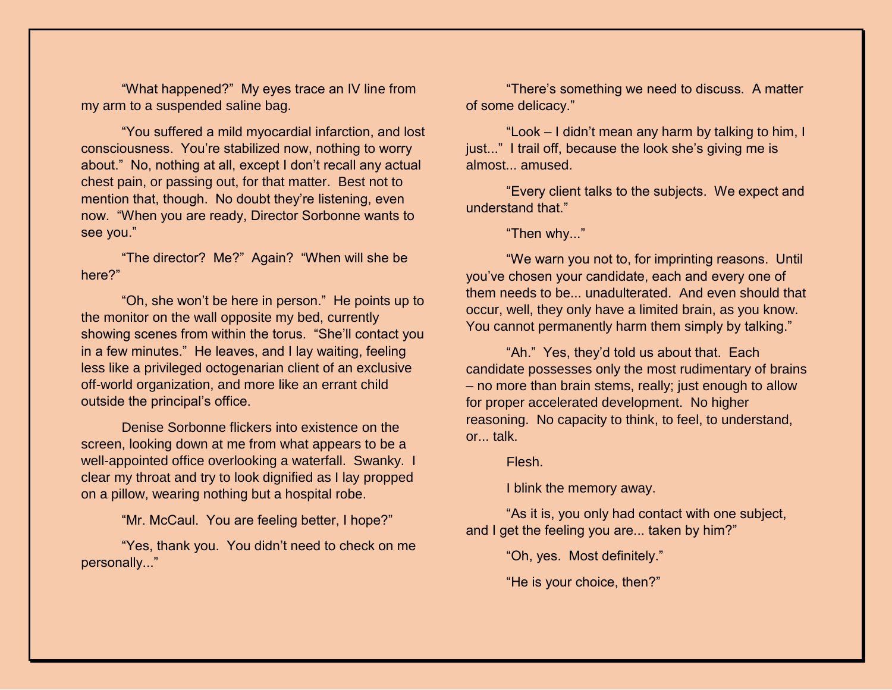"What happened?" My eyes trace an IV line from my arm to a suspended saline bag.

"You suffered a mild myocardial infarction, and lost consciousness. You're stabilized now, nothing to worry about." No, nothing at all, except I don't recall any actual chest pain, or passing out, for that matter. Best not to mention that, though. No doubt they're listening, even now. "When you are ready, Director Sorbonne wants to see you."

"The director? Me?" Again? "When will she be here?"

"Oh, she won't be here in person." He points up to the monitor on the wall opposite my bed, currently showing scenes from within the torus. "She'll contact you in a few minutes." He leaves, and I lay waiting, feeling less like a privileged octogenarian client of an exclusive off-world organization, and more like an errant child outside the principal's office.

Denise Sorbonne flickers into existence on the screen, looking down at me from what appears to be a well-appointed office overlooking a waterfall. Swanky. I clear my throat and try to look dignified as I lay propped on a pillow, wearing nothing but a hospital robe.

"Mr. McCaul. You are feeling better, I hope?"

"Yes, thank you. You didn't need to check on me personally..."

"There's something we need to discuss. A matter of some delicacy."

"Look – I didn't mean any harm by talking to him, I just..." I trail off, because the look she's giving me is almost... amused.

"Every client talks to the subjects. We expect and understand that."

"Then why..."

"We warn you not to, for imprinting reasons. Until you've chosen your candidate, each and every one of them needs to be... unadulterated. And even should that occur, well, they only have a limited brain, as you know. You cannot permanently harm them simply by talking."

"Ah." Yes, they'd told us about that. Each candidate possesses only the most rudimentary of brains – no more than brain stems, really; just enough to allow for proper accelerated development. No higher reasoning. No capacity to think, to feel, to understand, or... talk.

Flesh.

I blink the memory away.

"As it is, you only had contact with one subject, and I get the feeling you are... taken by him?"

"Oh, yes. Most definitely."

"He is your choice, then?"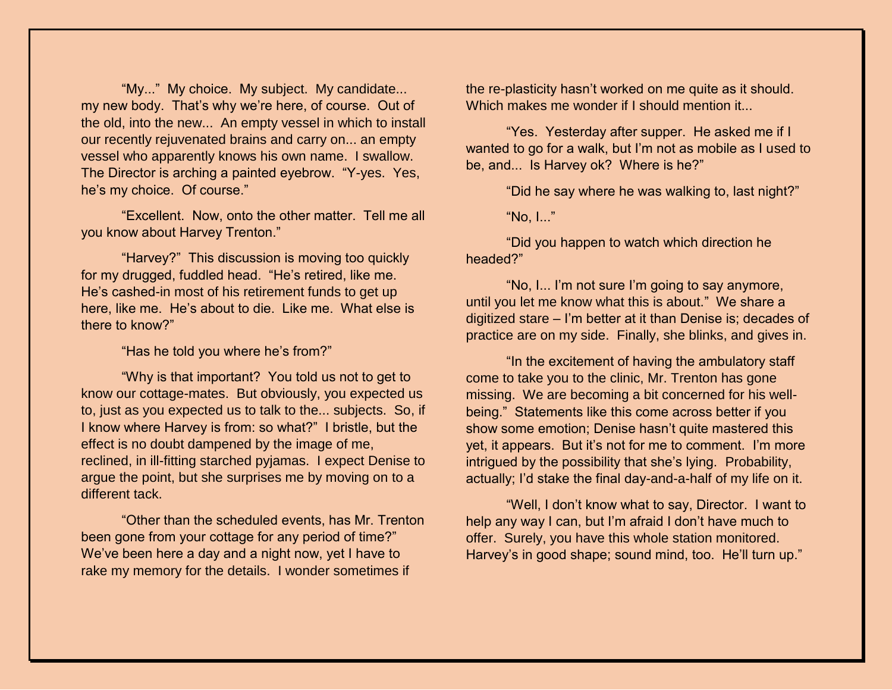"My..." My choice. My subject. My candidate... my new body. That's why we're here, of course. Out of the old, into the new... An empty vessel in which to install our recently rejuvenated brains and carry on... an empty vessel who apparently knows his own name. I swallow. The Director is arching a painted eyebrow. "Y-yes. Yes, he's my choice. Of course."

"Excellent. Now, onto the other matter. Tell me all you know about Harvey Trenton."

"Harvey?" This discussion is moving too quickly for my drugged, fuddled head. "He's retired, like me. He's cashed-in most of his retirement funds to get up here, like me. He's about to die. Like me. What else is there to know?"

"Has he told you where he's from?"

"Why is that important? You told us not to get to know our cottage-mates. But obviously, you expected us to, just as you expected us to talk to the... subjects. So, if I know where Harvey is from: so what?" I bristle, but the effect is no doubt dampened by the image of me, reclined, in ill-fitting starched pyjamas. I expect Denise to argue the point, but she surprises me by moving on to a different tack.

"Other than the scheduled events, has Mr. Trenton been gone from your cottage for any period of time?" We've been here a day and a night now, yet I have to rake my memory for the details. I wonder sometimes if

the re-plasticity hasn't worked on me quite as it should. Which makes me wonder if I should mention it...

"Yes. Yesterday after supper. He asked me if I wanted to go for a walk, but I'm not as mobile as I used to be, and... Is Harvey ok? Where is he?"

"Did he say where he was walking to, last night?"

"No, I..."

"Did you happen to watch which direction he headed?"

"No, I... I'm not sure I'm going to say anymore, until you let me know what this is about." We share a digitized stare – I'm better at it than Denise is; decades of practice are on my side. Finally, she blinks, and gives in.

"In the excitement of having the ambulatory staff come to take you to the clinic, Mr. Trenton has gone missing. We are becoming a bit concerned for his wellbeing." Statements like this come across better if you show some emotion; Denise hasn't quite mastered this yet, it appears. But it's not for me to comment. I'm more intrigued by the possibility that she's lying. Probability, actually; I'd stake the final day-and-a-half of my life on it.

"Well, I don't know what to say, Director. I want to help any way I can, but I'm afraid I don't have much to offer. Surely, you have this whole station monitored. Harvey's in good shape; sound mind, too. He'll turn up."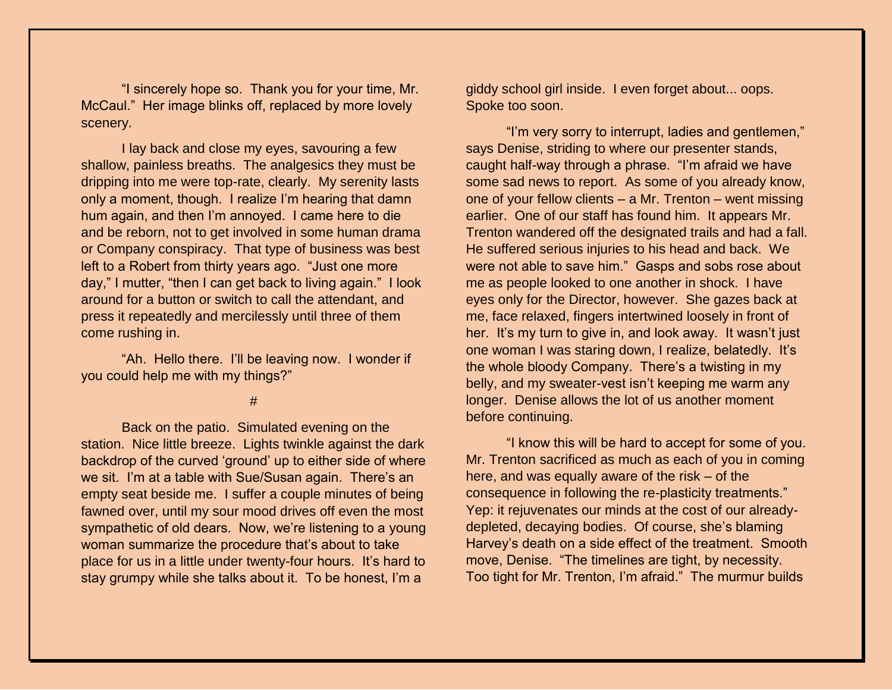"I sincerely hope so. Thank you for your time, Mr. McCaul." Her image blinks off, replaced by more lovely scenery.

I lay back and close my eyes, savouring a few shallow, painless breaths. The analgesics they must be dripping into me were top-rate, clearly. My serenity lasts only a moment, though. I realize I'm hearing that damn hum again, and then I'm annoyed. I came here to die and be reborn, not to get involved in some human drama or Company conspiracy. That type of business was best left to a Robert from thirty years ago. "Just one more day," I mutter, "then I can get back to living again." I look around for a button or switch to call the attendant, and press it repeatedly and mercilessly until three of them come rushing in.

"Ah. Hello there. I'll be leaving now. I wonder if you could help me with my things?"

#

Back on the patio. Simulated evening on the station. Nice little breeze. Lights twinkle against the dark backdrop of the curved 'ground' up to either side of where we sit. I'm at a table with Sue/Susan again. There's an empty seat beside me. I suffer a couple minutes of being fawned over, until my sour mood drives off even the most sympathetic of old dears. Now, we're listening to a young woman summarize the procedure that's about to take place for us in a little under twenty-four hours. It's hard to stay grumpy while she talks about it. To be honest, I'm a

giddy school girl inside. I even forget about... oops. Spoke too soon.

"I'm very sorry to interrupt, ladies and gentlemen," says Denise, striding to where our presenter stands, caught half-way through a phrase. "I'm afraid we have some sad news to report. As some of you already know, one of your fellow clients – a Mr. Trenton – went missing earlier. One of our staff has found him. It appears Mr. Trenton wandered off the designated trails and had a fall. He suffered serious injuries to his head and back. We were not able to save him." Gasps and sobs rose about me as people looked to one another in shock. I have eyes only for the Director, however. She gazes back at me, face relaxed, fingers intertwined loosely in front of her. It's my turn to give in, and look away. It wasn't just one woman I was staring down, I realize, belatedly. It's the whole bloody Company. There's a twisting in my belly, and my sweater-vest isn't keeping me warm any longer. Denise allows the lot of us another moment before continuing.

"I know this will be hard to accept for some of you. Mr. Trenton sacrificed as much as each of you in coming here, and was equally aware of the risk – of the consequence in following the re-plasticity treatments." Yep: it rejuvenates our minds at the cost of our alreadydepleted, decaying bodies. Of course, she's blaming Harvey's death on a side effect of the treatment. Smooth move, Denise. "The timelines are tight, by necessity. Too tight for Mr. Trenton, I'm afraid." The murmur builds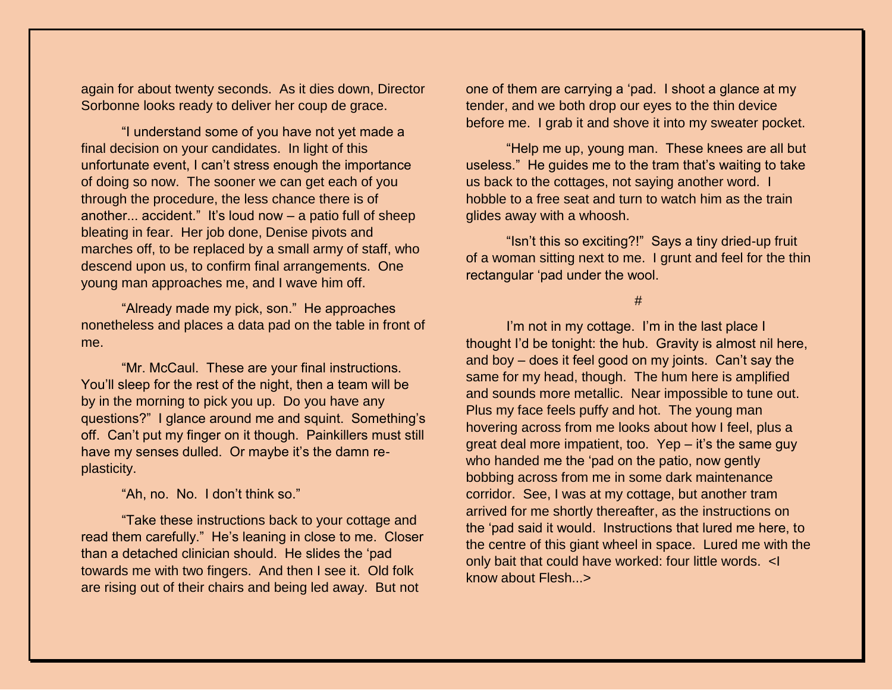again for about twenty seconds. As it dies down, Director Sorbonne looks ready to deliver her coup de grace.

"I understand some of you have not yet made a final decision on your candidates. In light of this unfortunate event, I can't stress enough the importance of doing so now. The sooner we can get each of you through the procedure, the less chance there is of another... accident." It's loud now  $-$  a patio full of sheep bleating in fear. Her job done, Denise pivots and marches off, to be replaced by a small army of staff, who descend upon us, to confirm final arrangements. One young man approaches me, and I wave him off.

"Already made my pick, son." He approaches nonetheless and places a data pad on the table in front of me.

"Mr. McCaul. These are your final instructions. You'll sleep for the rest of the night, then a team will be by in the morning to pick you up. Do you have any questions?" I glance around me and squint. Something's off. Can't put my finger on it though. Painkillers must still have my senses dulled. Or maybe it's the damn replasticity.

"Ah, no. No. I don't think so."

"Take these instructions back to your cottage and read them carefully." He's leaning in close to me. Closer than a detached clinician should. He slides the 'pad towards me with two fingers. And then I see it. Old folk are rising out of their chairs and being led away. But not

one of them are carrying a 'pad. I shoot a glance at my tender, and we both drop our eyes to the thin device before me. I grab it and shove it into my sweater pocket.

"Help me up, young man. These knees are all but useless." He guides me to the tram that's waiting to take us back to the cottages, not saying another word. I hobble to a free seat and turn to watch him as the train glides away with a whoosh.

"Isn't this so exciting?!" Says a tiny dried-up fruit of a woman sitting next to me. I grunt and feel for the thin rectangular 'pad under the wool.

#### #

I'm not in my cottage. I'm in the last place I thought I'd be tonight: the hub. Gravity is almost nil here, and boy – does it feel good on my joints. Can't say the same for my head, though. The hum here is amplified and sounds more metallic. Near impossible to tune out. Plus my face feels puffy and hot. The young man hovering across from me looks about how I feel, plus a great deal more impatient, too. Yep – it's the same guy who handed me the 'pad on the patio, now gently bobbing across from me in some dark maintenance corridor. See, I was at my cottage, but another tram arrived for me shortly thereafter, as the instructions on the 'pad said it would. Instructions that lured me here, to the centre of this giant wheel in space. Lured me with the only bait that could have worked: four little words. <I know about Flesh...>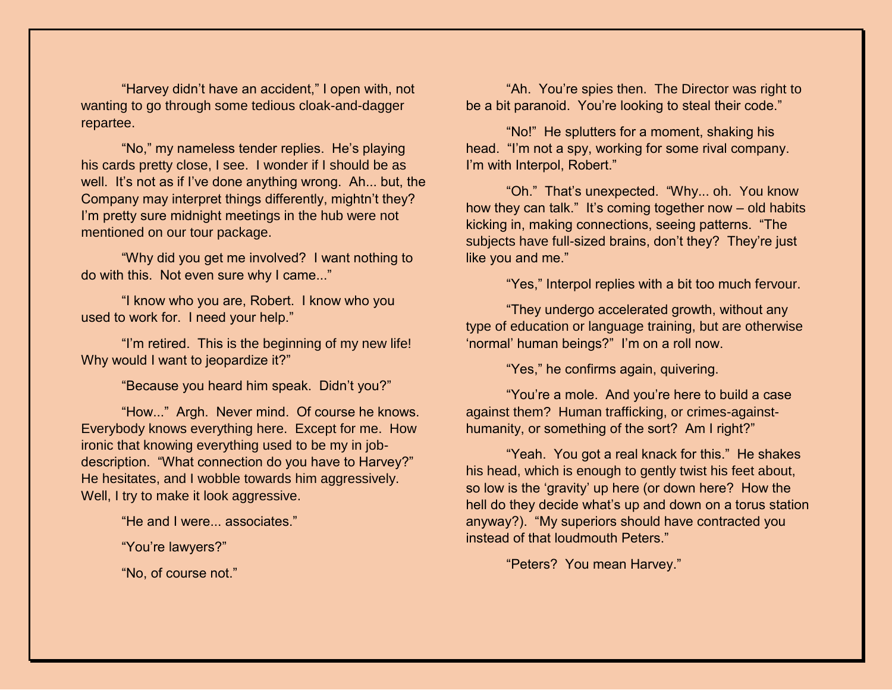"Harvey didn't have an accident," I open with, not wanting to go through some tedious cloak-and-dagger repartee.

"No," my nameless tender replies. He's playing his cards pretty close, I see. I wonder if I should be as well. It's not as if I've done anything wrong. Ah... but, the Company may interpret things differently, mightn't they? I'm pretty sure midnight meetings in the hub were not mentioned on our tour package.

"Why did you get me involved? I want nothing to do with this. Not even sure why I came..."

"I know who you are, Robert. I know who you used to work for. I need your help."

"I'm retired. This is the beginning of my new life! Why would I want to jeopardize it?"

"Because you heard him speak. Didn't you?"

"How..." Argh. Never mind. Of course he knows. Everybody knows everything here. Except for me. How ironic that knowing everything used to be my in jobdescription. "What connection do you have to Harvey?" He hesitates, and I wobble towards him aggressively. Well, I try to make it look aggressive.

"He and I were... associates."

"You're lawyers?"

"No, of course not."

"Ah. You're spies then. The Director was right to be a bit paranoid. You're looking to steal their code."

"No!" He splutters for a moment, shaking his head. "I'm not a spy, working for some rival company. I'm with Interpol, Robert."

"Oh." That's unexpected. "Why... oh. You know how they can talk." It's coming together now – old habits kicking in, making connections, seeing patterns. "The subjects have full-sized brains, don't they? They're just like you and me."

"Yes," Interpol replies with a bit too much fervour.

"They undergo accelerated growth, without any type of education or language training, but are otherwise 'normal' human beings?" I'm on a roll now.

"Yes," he confirms again, quivering.

"You're a mole. And you're here to build a case against them? Human trafficking, or crimes-againsthumanity, or something of the sort? Am I right?"

"Yeah. You got a real knack for this." He shakes his head, which is enough to gently twist his feet about, so low is the 'gravity' up here (or down here? How the hell do they decide what's up and down on a torus station anyway?). "My superiors should have contracted you instead of that loudmouth Peters."

"Peters? You mean Harvey."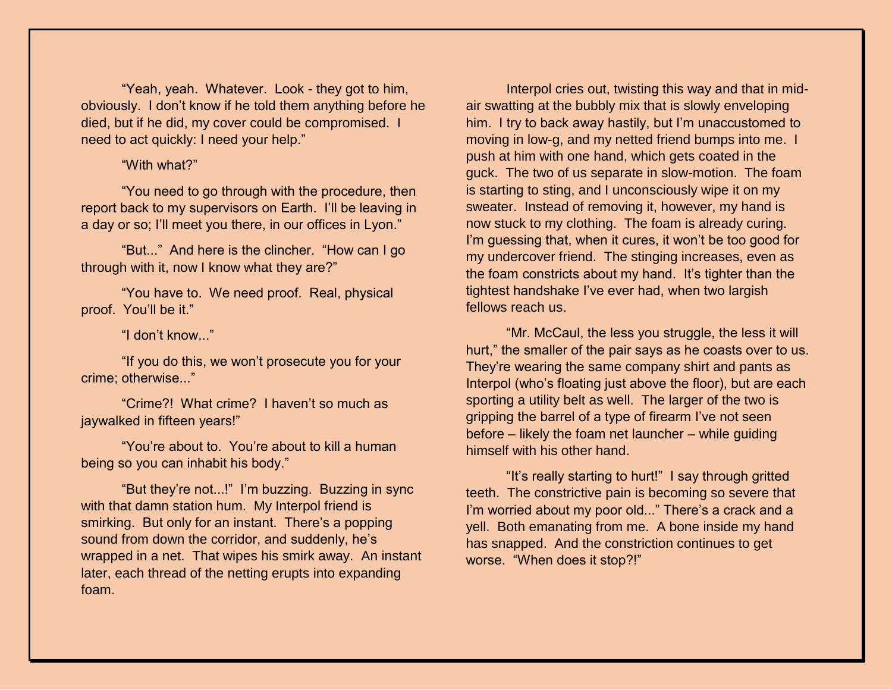"Yeah, yeah. Whatever. Look - they got to him, obviously. I don't know if he told them anything before he died, but if he did, my cover could be compromised. I need to act quickly: I need your help."

## "With what?"

"You need to go through with the procedure, then report back to my supervisors on Earth. I'll be leaving in a day or so; I'll meet you there, in our offices in Lyon."

"But..." And here is the clincher. "How can I go through with it, now I know what they are?"

"You have to. We need proof. Real, physical proof. You'll be it."

"I don't know..."

"If you do this, we won't prosecute you for your crime; otherwise..."

"Crime?! What crime? I haven't so much as jaywalked in fifteen years!"

"You're about to. You're about to kill a human being so you can inhabit his body."

"But they're not...!" I'm buzzing. Buzzing in sync with that damn station hum. My Interpol friend is smirking. But only for an instant. There's a popping sound from down the corridor, and suddenly, he's wrapped in a net. That wipes his smirk away. An instant later, each thread of the netting erupts into expanding foam.

Interpol cries out, twisting this way and that in midair swatting at the bubbly mix that is slowly enveloping him. I try to back away hastily, but I'm unaccustomed to moving in low-g, and my netted friend bumps into me. I push at him with one hand, which gets coated in the guck. The two of us separate in slow-motion. The foam is starting to sting, and I unconsciously wipe it on my sweater. Instead of removing it, however, my hand is now stuck to my clothing. The foam is already curing. I'm guessing that, when it cures, it won't be too good for my undercover friend. The stinging increases, even as the foam constricts about my hand. It's tighter than the tightest handshake I've ever had, when two largish fellows reach us.

"Mr. McCaul, the less you struggle, the less it will hurt," the smaller of the pair says as he coasts over to us. They're wearing the same company shirt and pants as Interpol (who's floating just above the floor), but are each sporting a utility belt as well. The larger of the two is gripping the barrel of a type of firearm I've not seen before – likely the foam net launcher – while guiding himself with his other hand.

"It's really starting to hurt!" I say through gritted teeth. The constrictive pain is becoming so severe that I'm worried about my poor old..." There's a crack and a yell. Both emanating from me. A bone inside my hand has snapped. And the constriction continues to get worse. "When does it stop?!"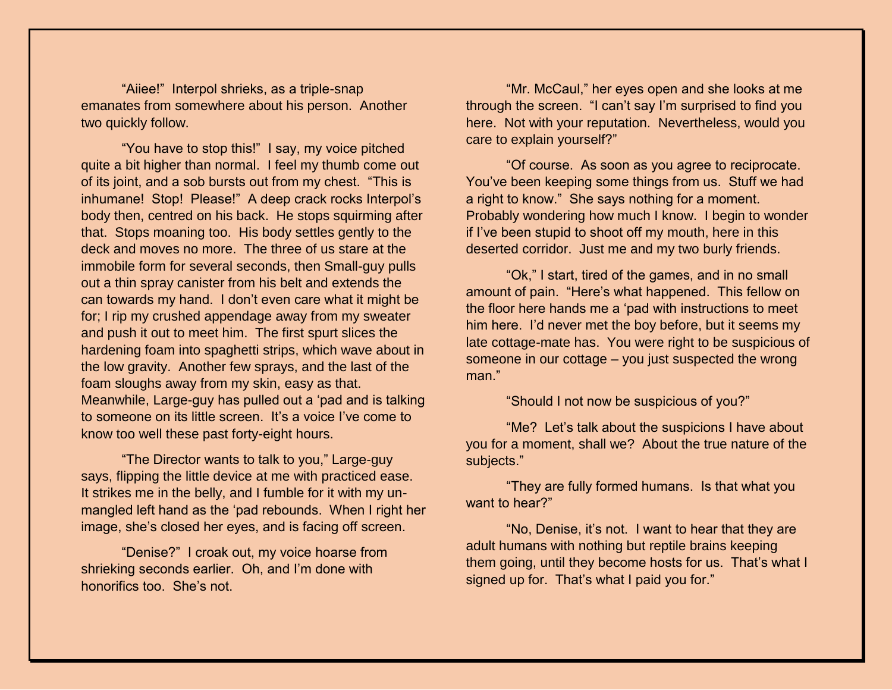"Aiiee!" Interpol shrieks, as a triple-snap emanates from somewhere about his person. Another two quickly follow.

"You have to stop this!" I say, my voice pitched quite a bit higher than normal. I feel my thumb come out of its joint, and a sob bursts out from my chest. "This is inhumane! Stop! Please!" A deep crack rocks Interpol's body then, centred on his back. He stops squirming after that. Stops moaning too. His body settles gently to the deck and moves no more. The three of us stare at the immobile form for several seconds, then Small-guy pulls out a thin spray canister from his belt and extends the can towards my hand. I don't even care what it might be for; I rip my crushed appendage away from my sweater and push it out to meet him. The first spurt slices the hardening foam into spaghetti strips, which wave about in the low gravity. Another few sprays, and the last of the foam sloughs away from my skin, easy as that. Meanwhile, Large-guy has pulled out a 'pad and is talking to someone on its little screen. It's a voice I've come to know too well these past forty-eight hours.

"The Director wants to talk to you," Large-guy says, flipping the little device at me with practiced ease. It strikes me in the belly, and I fumble for it with my unmangled left hand as the 'pad rebounds. When I right her image, she's closed her eyes, and is facing off screen.

"Denise?" I croak out, my voice hoarse from shrieking seconds earlier. Oh, and I'm done with honorifics too. She's not.

"Mr. McCaul," her eyes open and she looks at me through the screen. "I can't say I'm surprised to find you here. Not with your reputation. Nevertheless, would you care to explain yourself?"

"Of course. As soon as you agree to reciprocate. You've been keeping some things from us. Stuff we had a right to know." She says nothing for a moment. Probably wondering how much I know. I begin to wonder if I've been stupid to shoot off my mouth, here in this deserted corridor. Just me and my two burly friends.

"Ok," I start, tired of the games, and in no small amount of pain. "Here's what happened. This fellow on the floor here hands me a 'pad with instructions to meet him here. I'd never met the boy before, but it seems my late cottage-mate has. You were right to be suspicious of someone in our cottage – you just suspected the wrong man."

"Should I not now be suspicious of you?"

"Me? Let's talk about the suspicions I have about you for a moment, shall we? About the true nature of the subjects."

"They are fully formed humans. Is that what you want to hear?"

"No, Denise, it's not. I want to hear that they are adult humans with nothing but reptile brains keeping them going, until they become hosts for us. That's what I signed up for. That's what I paid you for."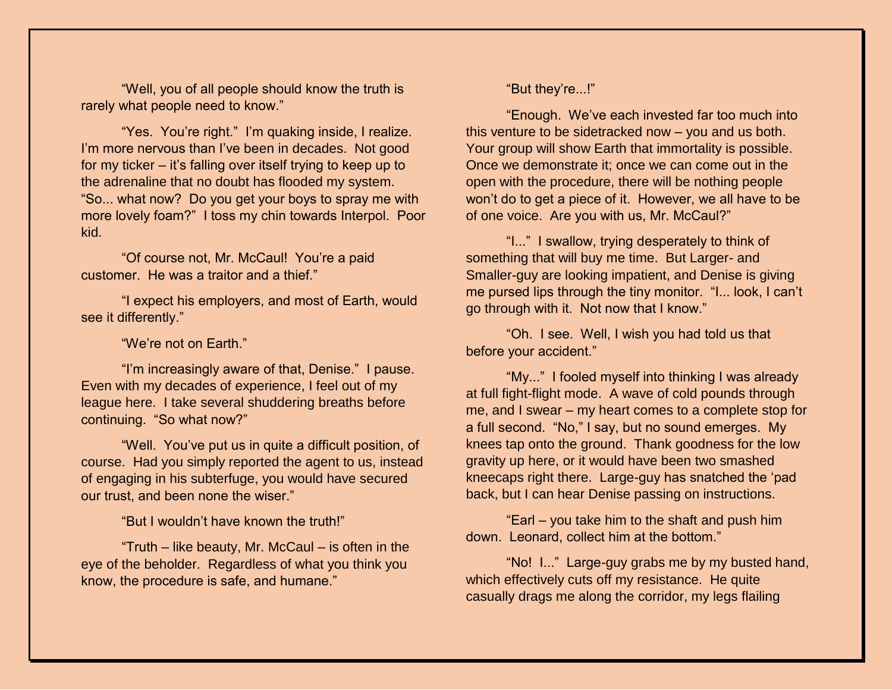"Well, you of all people should know the truth is rarely what people need to know."

"Yes. You're right." I'm quaking inside, I realize. I'm more nervous than I've been in decades. Not good for my ticker – it's falling over itself trying to keep up to the adrenaline that no doubt has flooded my system. "So... what now? Do you get your boys to spray me with more lovely foam?" I toss my chin towards Interpol. Poor kid.

"Of course not, Mr. McCaul! You're a paid customer. He was a traitor and a thief."

"I expect his employers, and most of Earth, would see it differently."

### "We're not on Earth."

"I'm increasingly aware of that, Denise." I pause. Even with my decades of experience, I feel out of my league here. I take several shuddering breaths before continuing. "So what now?"

"Well. You've put us in quite a difficult position, of course. Had you simply reported the agent to us, instead of engaging in his subterfuge, you would have secured our trust, and been none the wiser."

"But I wouldn't have known the truth!"

"Truth – like beauty, Mr. McCaul – is often in the eye of the beholder. Regardless of what you think you know, the procedure is safe, and humane."

## "But they're...!"

"Enough. We've each invested far too much into this venture to be sidetracked now – you and us both. Your group will show Earth that immortality is possible. Once we demonstrate it; once we can come out in the open with the procedure, there will be nothing people won't do to get a piece of it. However, we all have to be of one voice. Are you with us, Mr. McCaul?"

"I..." I swallow, trying desperately to think of something that will buy me time. But Larger- and Smaller-guy are looking impatient, and Denise is giving me pursed lips through the tiny monitor. "I... look, I can't go through with it. Not now that I know."

"Oh. I see. Well, I wish you had told us that before your accident."

"My..." I fooled myself into thinking I was already at full fight-flight mode. A wave of cold pounds through me, and I swear – my heart comes to a complete stop for a full second. "No," I say, but no sound emerges. My knees tap onto the ground. Thank goodness for the low gravity up here, or it would have been two smashed kneecaps right there. Large-guy has snatched the 'pad back, but I can hear Denise passing on instructions.

"Earl – you take him to the shaft and push him down. Leonard, collect him at the bottom."

"No! I..." Large-guy grabs me by my busted hand, which effectively cuts off my resistance. He quite casually drags me along the corridor, my legs flailing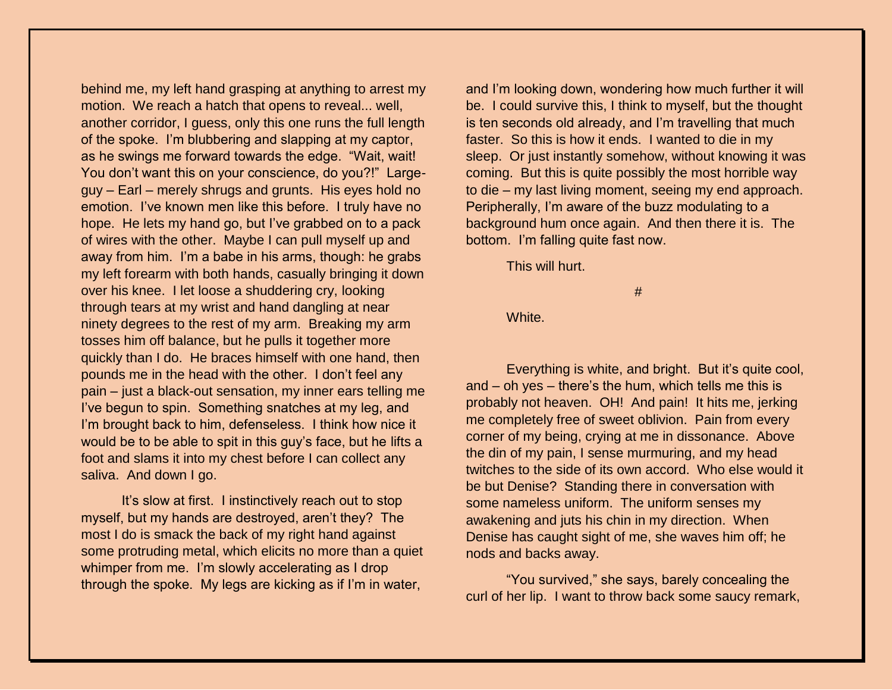behind me, my left hand grasping at anything to arrest my motion. We reach a hatch that opens to reveal... well, another corridor, I guess, only this one runs the full length of the spoke. I'm blubbering and slapping at my captor, as he swings me forward towards the edge. "Wait, wait! You don't want this on your conscience, do you?!" Largeguy – Earl – merely shrugs and grunts. His eyes hold no emotion. I've known men like this before. I truly have no hope. He lets my hand go, but I've grabbed on to a pack of wires with the other. Maybe I can pull myself up and away from him. I'm a babe in his arms, though: he grabs my left forearm with both hands, casually bringing it down over his knee. I let loose a shuddering cry, looking through tears at my wrist and hand dangling at near ninety degrees to the rest of my arm. Breaking my arm tosses him off balance, but he pulls it together more quickly than I do. He braces himself with one hand, then pounds me in the head with the other. I don't feel any pain – just a black-out sensation, my inner ears telling me I've begun to spin. Something snatches at my leg, and I'm brought back to him, defenseless. I think how nice it would be to be able to spit in this guy's face, but he lifts a foot and slams it into my chest before I can collect any saliva. And down I go.

It's slow at first. I instinctively reach out to stop myself, but my hands are destroyed, aren't they? The most I do is smack the back of my right hand against some protruding metal, which elicits no more than a quiet whimper from me. I'm slowly accelerating as I drop through the spoke. My legs are kicking as if I'm in water,

and I'm looking down, wondering how much further it will be. I could survive this, I think to myself, but the thought is ten seconds old already, and I'm travelling that much faster. So this is how it ends. I wanted to die in my sleep. Or just instantly somehow, without knowing it was coming. But this is quite possibly the most horrible way to die – my last living moment, seeing my end approach. Peripherally, I'm aware of the buzz modulating to a background hum once again. And then there it is. The bottom. I'm falling quite fast now.

This will hurt.

#

White.

Everything is white, and bright. But it's quite cool, and – oh yes – there's the hum, which tells me this is probably not heaven. OH! And pain! It hits me, jerking me completely free of sweet oblivion. Pain from every corner of my being, crying at me in dissonance. Above the din of my pain, I sense murmuring, and my head twitches to the side of its own accord. Who else would it be but Denise? Standing there in conversation with some nameless uniform. The uniform senses my awakening and juts his chin in my direction. When Denise has caught sight of me, she waves him off; he nods and backs away.

"You survived," she says, barely concealing the curl of her lip. I want to throw back some saucy remark,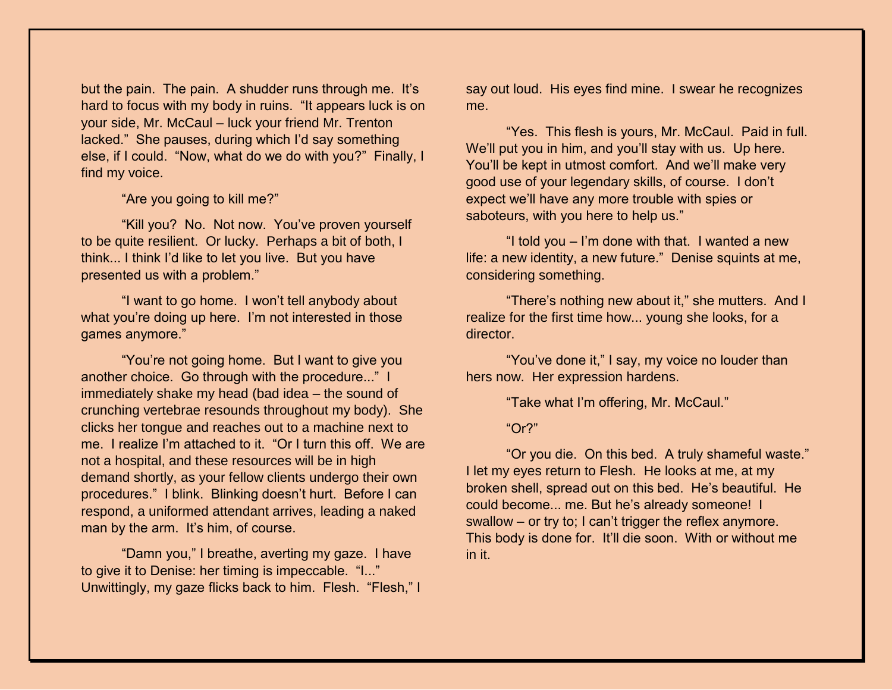but the pain. The pain. A shudder runs through me. It's hard to focus with my body in ruins. "It appears luck is on your side, Mr. McCaul – luck your friend Mr. Trenton lacked." She pauses, during which I'd say something else, if I could. "Now, what do we do with you?" Finally, I find my voice.

"Are you going to kill me?"

"Kill you? No. Not now. You've proven yourself to be quite resilient. Or lucky. Perhaps a bit of both, I think... I think I'd like to let you live. But you have presented us with a problem."

"I want to go home. I won't tell anybody about what you're doing up here. I'm not interested in those games anymore."

"You're not going home. But I want to give you another choice. Go through with the procedure..." I immediately shake my head (bad idea – the sound of crunching vertebrae resounds throughout my body). She clicks her tongue and reaches out to a machine next to me. I realize I'm attached to it. "Or I turn this off. We are not a hospital, and these resources will be in high demand shortly, as your fellow clients undergo their own procedures." I blink. Blinking doesn't hurt. Before I can respond, a uniformed attendant arrives, leading a naked man by the arm. It's him, of course.

"Damn you," I breathe, averting my gaze. I have to give it to Denise: her timing is impeccable. "I..." Unwittingly, my gaze flicks back to him. Flesh. "Flesh," I say out loud. His eyes find mine. I swear he recognizes me.

"Yes. This flesh is yours, Mr. McCaul. Paid in full. We'll put you in him, and you'll stay with us. Up here. You'll be kept in utmost comfort. And we'll make very good use of your legendary skills, of course. I don't expect we'll have any more trouble with spies or saboteurs, with you here to help us."

"I told you – I'm done with that. I wanted a new life: a new identity, a new future." Denise squints at me, considering something.

"There's nothing new about it," she mutters. And I realize for the first time how... young she looks, for a director.

"You've done it," I say, my voice no louder than hers now. Her expression hardens.

"Take what I'm offering, Mr. McCaul."

"Or?"

"Or you die. On this bed. A truly shameful waste." I let my eyes return to Flesh. He looks at me, at my broken shell, spread out on this bed. He's beautiful. He could become... me. But he's already someone! I swallow – or try to; I can't trigger the reflex anymore. This body is done for. It'll die soon. With or without me in it.